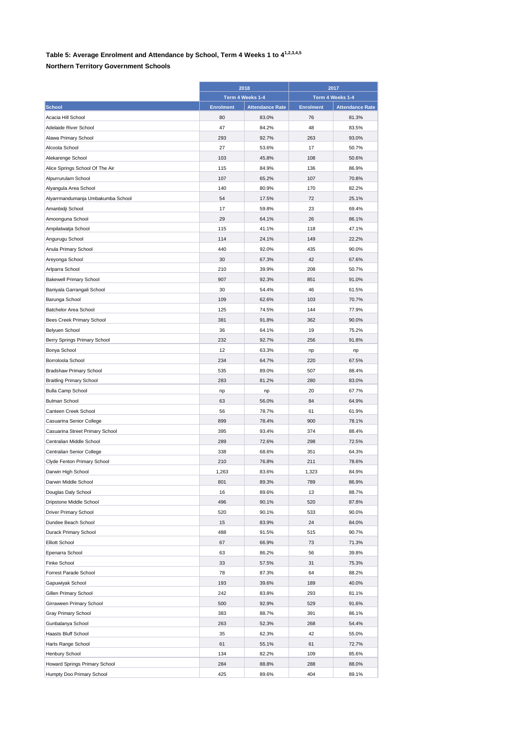## **Table 5: Average Enrolment and Attendance by School, Term 4 Weeks 1 to 41,2,3,4,5**

## **Northern Territory Government Schools**

|                                   | 2018<br>Term 4 Weeks 1-4 |                        | 2017<br>Term 4 Weeks 1-4 |                        |
|-----------------------------------|--------------------------|------------------------|--------------------------|------------------------|
|                                   |                          |                        |                          |                        |
|                                   |                          |                        |                          |                        |
| <b>School</b>                     | <b>Enrolment</b>         | <b>Attendance Rate</b> | <b>Enrolment</b>         | <b>Attendance Rate</b> |
| Acacia Hill School                | 80                       | 83.0%                  | 76                       | 81.3%                  |
| Adelaide River School             | 47                       | 84.2%                  | 48                       | 83.5%                  |
| Alawa Primary School              | 293                      | 92.7%                  | 263                      | 93.0%                  |
| Alcoota School                    | 27                       | 53.6%                  | 17                       | 50.7%                  |
| Alekarenge School                 | 103                      | 45.8%                  | 108                      | 50.6%                  |
| Alice Springs School Of The Air   | 115                      | 84.9%                  | 136                      | 86.9%                  |
| Alpurrurulam School               | 107                      | 65.2%                  | 107                      | 70.8%                  |
| Alyangula Area School             | 140                      | 80.9%                  | 170                      | 82.2%                  |
| Alyarrmandumanja Umbakumba School | 54                       | 17.5%                  | 72                       | 25.1%                  |
| Amanbidji School                  | 17                       | 59.8%                  | 23                       | 69.4%                  |
| Amoonguna School                  | 29                       | 64.1%                  | 26                       | 86.1%                  |
| Ampilatwatja School               | 115                      | 41.1%                  | 118                      | 47.1%                  |
| Angurugu School                   | 114                      | 24.1%                  | 149                      | 22.2%                  |
| Anula Primary School              | 440                      | 92.0%                  | 435                      | 90.0%                  |
| Areyonga School                   | 30                       | 67.3%                  | 42                       | 67.6%                  |
| Arlparra School                   | 210                      | 39.9%                  | 208                      | 50.7%                  |
| <b>Bakewell Primary School</b>    | 907                      | 92.3%                  | 851                      | 91.0%                  |
| Baniyala Garrangali School        | 30                       | 54.4%                  | 46                       | 61.5%                  |
| Barunga School                    | 109                      | 62.6%                  | 103                      | 70.7%                  |
| Batchelor Area School             | 125                      | 74.5%                  | 144                      | 77.9%                  |
| Bees Creek Primary School         | 381                      | 91.8%                  | 362                      | 90.0%                  |
| <b>Belyuen School</b>             | 36                       | 64.1%                  | 19                       | 75.2%                  |
| Berry Springs Primary School      | 232                      | 92.7%                  | 256                      | 91.8%                  |
| Bonya School                      | 12                       | 63.3%                  |                          | np                     |
| Borroloola School                 | 234                      | 64.7%                  | np<br>220                | 67.5%                  |
|                                   |                          |                        |                          |                        |
| <b>Bradshaw Primary School</b>    | 535                      | 89.0%                  | 507                      | 88.4%                  |
| <b>Braitling Primary School</b>   | 283                      | 81.2%                  | 280                      | 83.0%                  |
| <b>Bulla Camp School</b>          | np                       | np                     | 20                       | 67.7%                  |
| <b>Bulman School</b>              | 63                       | 56.0%                  | 84                       | 64.9%                  |
| Canteen Creek School              | 56                       | 78.7%                  | 61                       | 61.9%                  |
| Casuarina Senior College          | 899                      | 78.4%                  | 900                      | 78.1%                  |
| Casuarina Street Primary School   | 395                      | 93.4%                  | 374                      | 88.4%                  |
| Centralian Middle School          | 289                      | 72.6%                  | 298                      | 72.5%                  |
| Centralian Senior College         | 338                      | 68.6%                  | 351                      | 64.3%                  |
| Clyde Fenton Primary School       | 210                      | 76.8%                  | 211                      | 78.6%                  |
| Darwin High School                | 1,263                    | 83.6%                  | 1,323                    | 84.9%                  |
| Darwin Middle School              | 801                      | 89.3%                  | 789                      | 86.9%                  |
| Douglas Daly School               | 16                       | 89.6%                  | 13                       | 88.7%                  |
| Dripstone Middle School           | 496                      | 90.1%                  | 520                      | 87.8%                  |
| Driver Primary School             | 520                      | 90.1%                  | 533                      | 90.0%                  |
| Dundee Beach School               | 15                       | 83.9%                  | 24                       | 84.0%                  |
| Durack Primary School             | 488                      | 91.5%                  | 515                      | 90.7%                  |
| <b>Elliott School</b>             | 67                       | 66.9%                  | 73                       | 71.3%                  |
| Epenarra School                   | 63                       | 86.2%                  | 56                       | 39.8%                  |
| Finke School                      | 33                       | 57.5%                  | 31                       | 75.3%                  |
| Forrest Parade School             | 78                       | 87.3%                  | 64                       | 88.2%                  |
| Gapuwiyak School                  | 193                      | 39.6%                  | 189                      | 40.0%                  |
| Gillen Primary School             | 242                      | 83.8%                  | 293                      | 81.1%                  |
| Girraween Primary School          | 500                      | 92.9%                  | 529                      | 91.6%                  |
| Gray Primary School               | 383                      | 88.7%                  | 391                      | 86.1%                  |
| Gunbalanya School                 | 263                      | 52.3%                  | 268                      | 54.4%                  |
| Haasts Bluff School               | 35                       | 62.3%                  | 42                       | 55.0%                  |
| Harts Range School                | 61                       | 55.1%                  | 61                       | 72.7%                  |
| Henbury School                    | 134                      | 82.2%                  | 109                      | 85.6%                  |
| Howard Springs Primary School     | 284                      | 88.8%                  | 288                      | 88.0%                  |
| Humpty Doo Primary School         | 425                      | 89.6%                  | 404                      | 89.1%                  |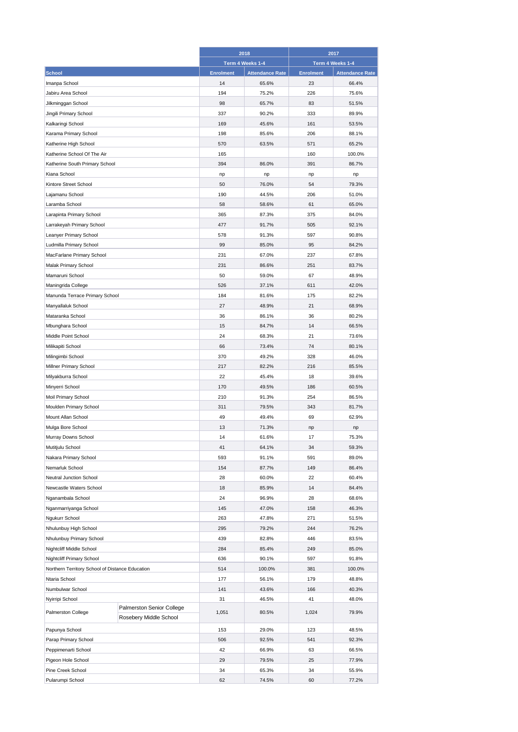|                                                                  |                        | 2018             |                        | 2017             |                        |
|------------------------------------------------------------------|------------------------|------------------|------------------------|------------------|------------------------|
|                                                                  |                        |                  | Term 4 Weeks 1-4       |                  | Term 4 Weeks 1-4       |
| <b>School</b>                                                    |                        | <b>Enrolment</b> | <b>Attendance Rate</b> | <b>Enrolment</b> | <b>Attendance Rate</b> |
| Imanpa School                                                    |                        | 14               | 65.6%                  | 23               | 66.4%                  |
| Jabiru Area School                                               |                        | 194              | 75.2%                  | 226              | 75.6%                  |
| Jilkminggan School                                               |                        | 98               | 65.7%                  | 83               | 51.5%                  |
| Jingili Primary School                                           |                        | 337              | 90.2%                  | 333              | 89.9%                  |
| Kalkaringi School                                                |                        | 169              | 45.6%                  | 161              | 53.5%                  |
| Karama Primary School                                            |                        | 198              | 85.6%                  | 206              | 88.1%                  |
| Katherine High School                                            |                        | 570              | 63.5%                  | 571              | 65.2%                  |
| Katherine School Of The Air                                      |                        | 165              |                        | 160              | 100.0%                 |
|                                                                  |                        |                  | 86.0%                  |                  |                        |
| Katherine South Primary School                                   |                        | 394              |                        | 391              | 86.7%                  |
| Kiana School                                                     |                        | np               | np                     | np               | np                     |
| Kintore Street School                                            |                        | 50               | 76.0%                  | 54               | 79.3%                  |
| Lajamanu School                                                  |                        | 190              | 44.5%                  | 206              | 51.0%                  |
| Laramba School                                                   |                        | 58               | 58.6%                  | 61               | 65.0%                  |
| Larapinta Primary School                                         |                        | 365              | 87.3%                  | 375              | 84.0%                  |
| Larrakeyah Primary School                                        |                        | 477              | 91.7%                  | 505              | 92.1%                  |
| Leanyer Primary School                                           |                        | 578              | 91.3%                  | 597              | 90.8%                  |
| Ludmilla Primary School                                          |                        | 99               | 85.0%                  | 95               | 84.2%                  |
| MacFarlane Primary School                                        |                        | 231              | 67.0%                  | 237              | 67.8%                  |
| <b>Malak Primary School</b>                                      |                        | 231              | 86.6%                  | 251              | 83.7%                  |
| Mamaruni School                                                  |                        | 50               | 59.0%                  | 67               | 48.9%                  |
| Maningrida College                                               |                        | 526              | 37.1%                  | 611              | 42.0%                  |
| Manunda Terrace Primary School                                   |                        | 184              | 81.6%                  | 175              | 82.2%                  |
| Manyallaluk School                                               |                        | 27               | 48.9%                  | 21               | 68.9%                  |
| Mataranka School                                                 |                        | 36               | 86.1%                  | 36               | 80.2%                  |
| Mbunghara School                                                 |                        | 15               | 84.7%                  | 14               | 66.5%                  |
| Middle Point School                                              |                        | 24               | 68.3%                  | 21               | 73.6%                  |
| Milikapiti School                                                |                        | 66               | 73.4%                  | 74               | 80.1%                  |
|                                                                  |                        | 370              | 49.2%                  | 328              | 46.0%                  |
| Milingimbi School                                                |                        | 217              |                        | 216              |                        |
| Millner Primary School                                           |                        |                  | 82.2%                  |                  | 85.5%                  |
| Milyakburra School                                               |                        | 22               | 45.4%                  | 18               | 39.6%                  |
| Minyerri School                                                  |                        | 170              | 49.5%                  | 186              | 60.5%                  |
| Moil Primary School                                              |                        | 210              | 91.3%                  | 254              | 86.5%                  |
| Moulden Primary School                                           |                        | 311              | 79.5%                  | 343              | 81.7%                  |
| Mount Allan School                                               |                        | 49               | 49.4%                  | 69               | 62.9%                  |
| Mulga Bore School                                                |                        | 13               | 71.3%                  | np               | np                     |
| Murray Downs School                                              |                        | 14               | 61.6%                  | 17               | 75.3%                  |
| Mutitjulu School                                                 |                        | 41               | 64.1%                  | 34               | 59.3%                  |
| Nakara Primary School                                            |                        | 593              | 91.1%                  | 591              | 89.0%                  |
| Nemarluk School                                                  |                        | 154              | 87.7%                  | 149              | 86.4%                  |
| Neutral Junction School                                          |                        | 28               | 60.0%                  | 22               | 60.4%                  |
| Newcastle Waters School                                          |                        | 18               | 85.9%                  | 14               | 84.4%                  |
| Nganambala School                                                |                        | 24               | 96.9%                  | 28               | 68.6%                  |
| Nganmarriyanga School                                            |                        | 145              | 47.0%                  | 158              | 46.3%                  |
| Ngukurr School                                                   |                        | 263              | 47.8%                  | 271              | 51.5%                  |
| Nhulunbuy High School                                            |                        | 295              | 79.2%                  | 244              | 76.2%                  |
| Nhulunbuy Primary School                                         |                        | 439              | 82.8%                  | 446              | 83.5%                  |
| Nightcliff Middle School                                         |                        | 284              | 85.4%                  | 249              | 85.0%                  |
| Nightcliff Primary School                                        |                        | 636              | 90.1%                  | 597              | 91.8%                  |
|                                                                  |                        | 514              | 100.0%                 | 381              | 100.0%                 |
| Northern Territory School of Distance Education<br>Ntaria School |                        | 177              | 56.1%                  | 179              | 48.8%                  |
|                                                                  |                        |                  |                        |                  |                        |
| Numbulwar School                                                 |                        | 141              | 43.6%                  | 166              | 40.3%                  |
| Nyirripi School<br>Palmerston Senior College                     |                        | 31               | 46.5%                  | 41               | 48.0%                  |
| Palmerston College                                               | Rosebery Middle School | 1,051            | 80.5%                  | 1,024            | 79.9%                  |
| Papunya School                                                   |                        | 153              | 29.0%                  | 123              | 48.5%                  |
| Parap Primary School                                             |                        | 506              | 92.5%                  | 541              | 92.3%                  |
| Peppimenarti School                                              |                        | 42               | 66.9%                  | 63               | 66.5%                  |
| Pigeon Hole School                                               |                        | 29               | 79.5%                  | 25               | 77.9%                  |
| Pine Creek School                                                |                        | 34               | 65.3%                  | 34               | 55.9%                  |
| Pularumpi School                                                 |                        | 62               | 74.5%                  | 60               | 77.2%                  |